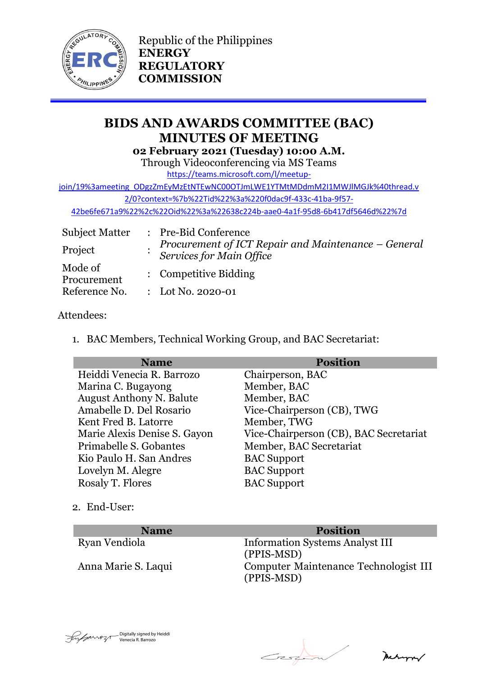

Republic of the Philippines **ENERGY REGULATORY COMMISSION**

# **BIDS AND AWARDS COMMITTEE (BAC) MINUTES OF MEETING 02 February 2021 (Tuesday) 10:00 A.M.**

Through Videoconferencing via MS Teams

[https://teams.microsoft.com/l/meetup-](https://teams.microsoft.com/l/meetup-join/19%3ameeting_ODgzZmEyMzEtNTEwNC00OTJmLWE1YTMtMDdmM2I1MWJlMGJk%40thread.v2/0?context=%7b%22Tid%22%3a%220f0dac9f-433c-41ba-9f57-42be6fe671a9%22%2c%22Oid%22%3a%22638c224b-aae0-4a1f-95d8-6b417df5646d%22%7d)

[join/19%3ameeting\\_ODgzZmEyMzEtNTEwNC00OTJmLWE1YTMtMDdmM2I1MWJlMGJk%40thread.v](https://teams.microsoft.com/l/meetup-join/19%3ameeting_ODgzZmEyMzEtNTEwNC00OTJmLWE1YTMtMDdmM2I1MWJlMGJk%40thread.v2/0?context=%7b%22Tid%22%3a%220f0dac9f-433c-41ba-9f57-42be6fe671a9%22%2c%22Oid%22%3a%22638c224b-aae0-4a1f-95d8-6b417df5646d%22%7d) [2/0?context=%7b%22Tid%22%3a%220f0dac9f-433c-41ba-9f57-](https://teams.microsoft.com/l/meetup-join/19%3ameeting_ODgzZmEyMzEtNTEwNC00OTJmLWE1YTMtMDdmM2I1MWJlMGJk%40thread.v2/0?context=%7b%22Tid%22%3a%220f0dac9f-433c-41ba-9f57-42be6fe671a9%22%2c%22Oid%22%3a%22638c224b-aae0-4a1f-95d8-6b417df5646d%22%7d)

[42be6fe671a9%22%2c%22Oid%22%3a%22638c224b-aae0-4a1f-95d8-6b417df5646d%22%7d](https://teams.microsoft.com/l/meetup-join/19%3ameeting_ODgzZmEyMzEtNTEwNC00OTJmLWE1YTMtMDdmM2I1MWJlMGJk%40thread.v2/0?context=%7b%22Tid%22%3a%220f0dac9f-433c-41ba-9f57-42be6fe671a9%22%2c%22Oid%22%3a%22638c224b-aae0-4a1f-95d8-6b417df5646d%22%7d)

| <b>Subject Matter</b>  | : Pre-Bid Conference                                                            |
|------------------------|---------------------------------------------------------------------------------|
| Project                | Procurement of ICT Repair and Maintenance – General<br>Services for Main Office |
| Mode of<br>Procurement | : Competitive Bidding                                                           |
| Reference No.          | : Lot No. 2020-01                                                               |

## Attendees:

1. BAC Members, Technical Working Group, and BAC Secretariat:

| <b>Name</b>                     | <b>Position</b>                        |
|---------------------------------|----------------------------------------|
| Heiddi Venecia R. Barrozo       | Chairperson, BAC                       |
| Marina C. Bugayong              | Member, BAC                            |
| <b>August Anthony N. Balute</b> | Member, BAC                            |
| Amabelle D. Del Rosario         | Vice-Chairperson (CB), TWG             |
| Kent Fred B. Latorre            | Member, TWG                            |
| Marie Alexis Denise S. Gayon    | Vice-Chairperson (CB), BAC Secretariat |
| Primabelle S. Gobantes          | Member, BAC Secretariat                |
| Kio Paulo H. San Andres         | <b>BAC</b> Support                     |
| Lovelyn M. Alegre               | <b>BAC</b> Support                     |
| Rosaly T. Flores                | <b>BAC</b> Support                     |

2. End-User:

| <b>Name</b>         | <b>Position</b>                                     |
|---------------------|-----------------------------------------------------|
| Ryan Vendiola       | <b>Information Systems Analyst III</b>              |
|                     | (PPIS-MSD)                                          |
| Anna Marie S. Laqui | Computer Maintenance Technologist III<br>(PPIS-MSD) |



 $\epsilon$ 

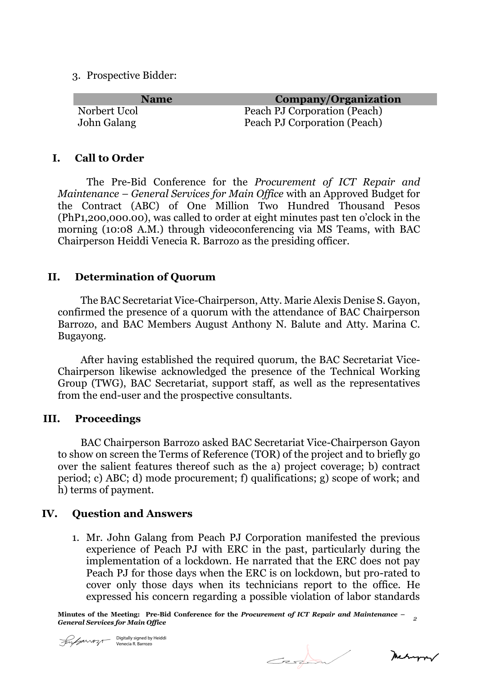3. Prospective Bidder:

| <b>Name</b>  | Company/Organization         |
|--------------|------------------------------|
| Norbert Ucol | Peach PJ Corporation (Peach) |
| John Galang  | Peach PJ Corporation (Peach) |

#### **I. Call to Order**

The Pre-Bid Conference for the *Procurement of ICT Repair and Maintenance – General Services for Main Office* with an Approved Budget for the Contract (ABC) of One Million Two Hundred Thousand Pesos (PhP1,200,000.00), was called to order at eight minutes past ten o'clock in the morning (10:08 A.M.) through videoconferencing via MS Teams, with BAC Chairperson Heiddi Venecia R. Barrozo as the presiding officer.

### **II. Determination of Quorum**

The BAC Secretariat Vice-Chairperson, Atty. Marie Alexis Denise S. Gayon, confirmed the presence of a quorum with the attendance of BAC Chairperson Barrozo, and BAC Members August Anthony N. Balute and Atty. Marina C. Bugayong.

After having established the required quorum, the BAC Secretariat Vice-Chairperson likewise acknowledged the presence of the Technical Working Group (TWG), BAC Secretariat, support staff, as well as the representatives from the end-user and the prospective consultants.

### **III. Proceedings**

BAC Chairperson Barrozo asked BAC Secretariat Vice-Chairperson Gayon to show on screen the Terms of Reference (TOR) of the project and to briefly go over the salient features thereof such as the a) project coverage; b) contract period; c) ABC; d) mode procurement; f) qualifications; g) scope of work; and h) terms of payment.

### **IV. Question and Answers**

1. Mr. John Galang from Peach PJ Corporation manifested the previous experience of Peach PJ with ERC in the past, particularly during the implementation of a lockdown. He narrated that the ERC does not pay Peach PJ for those days when the ERC is on lockdown, but pro-rated to cover only those days when its technicians report to the office. He expressed his concern regarding a possible violation of labor standards

**Minutes of the Meeting: Pre-Bid Conference for the** *Procurement of ICT Repair and Maintenance – General Services for Main Office <sup>2</sup>*



 $C_z$ 

Meturn/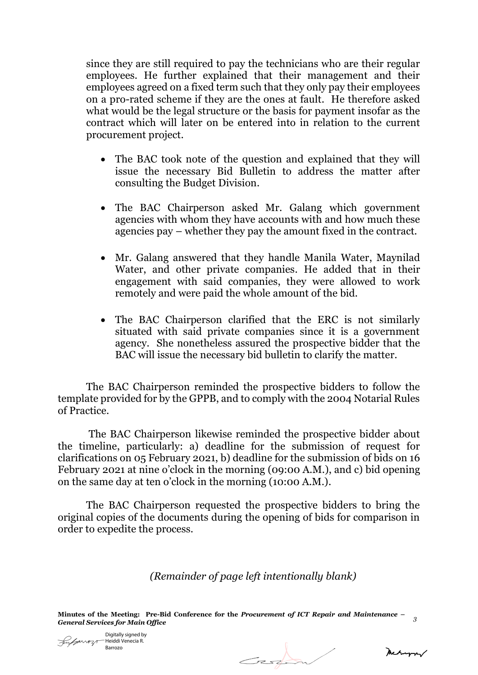since they are still required to pay the technicians who are their regular employees. He further explained that their management and their employees agreed on a fixed term such that they only pay their employees on a pro-rated scheme if they are the ones at fault. He therefore asked what would be the legal structure or the basis for payment insofar as the contract which will later on be entered into in relation to the current procurement project.

- The BAC took note of the question and explained that they will issue the necessary Bid Bulletin to address the matter after consulting the Budget Division.
- The BAC Chairperson asked Mr. Galang which government agencies with whom they have accounts with and how much these agencies pay – whether they pay the amount fixed in the contract.
- Mr. Galang answered that they handle Manila Water, Maynilad Water, and other private companies. He added that in their engagement with said companies, they were allowed to work remotely and were paid the whole amount of the bid.
- The BAC Chairperson clarified that the ERC is not similarly situated with said private companies since it is a government agency. She nonetheless assured the prospective bidder that the BAC will issue the necessary bid bulletin to clarify the matter.

The BAC Chairperson reminded the prospective bidders to follow the template provided for by the GPPB, and to comply with the 2004 Notarial Rules of Practice.

The BAC Chairperson likewise reminded the prospective bidder about the timeline, particularly: a) deadline for the submission of request for clarifications on 05 February 2021, b) deadline for the submission of bids on 16 February 2021 at nine o'clock in the morning (09:00 A.M.), and c) bid opening on the same day at ten o'clock in the morning (10:00 A.M.).

The BAC Chairperson requested the prospective bidders to bring the original copies of the documents during the opening of bids for comparison in order to expedite the process.

*(Remainder of page left intentionally blank)*

**Minutes of the Meeting: Pre-Bid Conference for the** *Procurement of ICT Repair and Maintenance – General Services for Main Office <sup>3</sup>*

Digitally signed by  $\mathscr{L}_{\mathscr{P}^{\mathcal{M} \mathcal{M} \mathcal{P}} \mathcal{A}}$ Heiddi Venecia R. Barrozo

Carpen

mechano